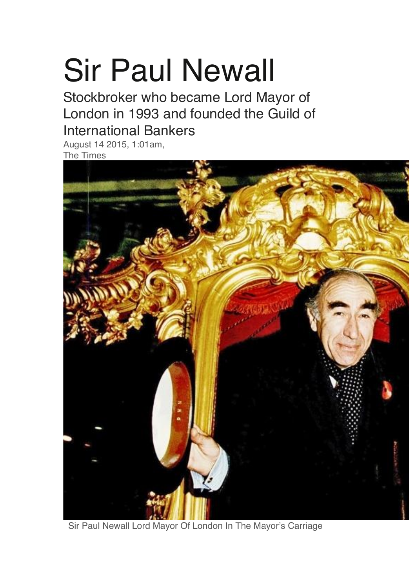## Sir Paul Newall

Stockbroker who became Lord Mayor of London in 1993 and founded the Guild of International Bankers

August 14 2015, 1:01am, The Times



Sir Paul Newall Lord Mayor Of London In The Mayor's Carriage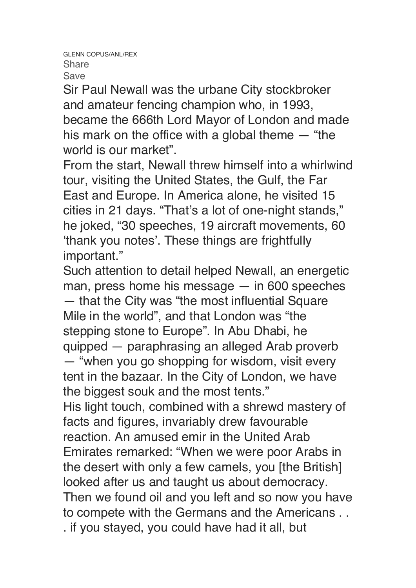Sir Paul Newall was the urbane City stockbroker and amateur fencing champion who, in 1993, became the 666th Lord Mayor of London and made his mark on the office with a global theme — "the world is our market".

From the start, Newall threw himself into a whirlwind tour, visiting the United States, the Gulf, the Far East and Europe. In America alone, he visited 15 cities in 21 days. "That's a lot of one-night stands," he joked, "30 speeches, 19 aircraft movements, 60 'thank you notes'. These things are frightfully important."

Such attention to detail helped Newall, an energetic man, press home his message — in 600 speeches — that the City was "the most influential Square Mile in the world", and that London was "the stepping stone to Europe". In Abu Dhabi, he quipped — paraphrasing an alleged Arab proverb — "when you go shopping for wisdom, visit every tent in the bazaar. In the City of London, we have the biggest souk and the most tents." His light touch, combined with a shrewd mastery of facts and figures, invariably drew favourable

reaction. An amused emir in the United Arab Emirates remarked: "When we were poor Arabs in the desert with only a few camels, you [the British] looked after us and taught us about democracy. Then we found oil and you left and so now you have to compete with the Germans and the Americans . . . if you stayed, you could have had it all, but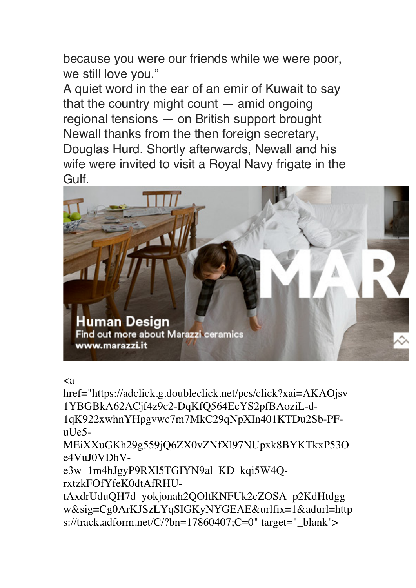because you were our friends while we were poor, we still love you."

A quiet word in the ear of an emir of Kuwait to say that the country might count — amid ongoing regional tensions — on British support brought Newall thanks from the then foreign secretary, Douglas Hurd. Shortly afterwards, Newall and his wife were invited to visit a Royal Navy frigate in the Gulf.



## $\langle a$

href="https://adclick.g.doubleclick.net/pcs/click?xai=AKAOjsv 1YBGBkA62ACjf4z9c2-DqKfQ564EcYS2pfBAoziL-d-1qK922xwhnYHpgvwc7m7MkC29qNpXIn401KTDu2Sb-PF $ul$ Ie5-

MEiXXuGKh29g559jQ6ZX0vZNfXl97NUpxk8BYKTkxP53O e4VuJ0VDhV-

e3w\_1m4hJgyP9RXl5TGIYN9al\_KD\_kqi5W4QrxtzkFOfYfeK0dtAfRHU-

tAxdrUduQH7d\_yokjonah2QOltKNFUk2cZOSA\_p2KdHtdgg w&sig=Cg0ArKJSzLYqSIGKyNYGEAE&urlfix=1&adurl=http s://track.adform.net/C/?bn=17860407;C=0" target=" blank">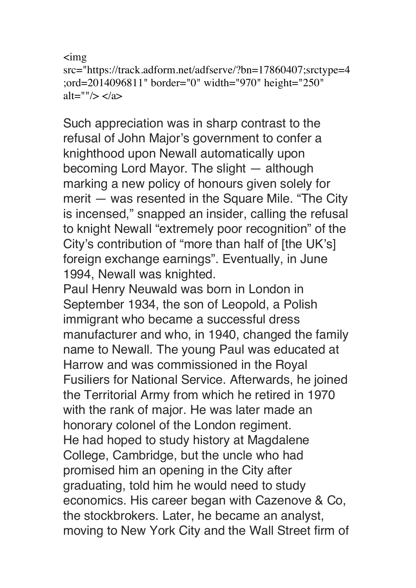```
\sing
src="https://track.adform.net/adfserve/?bn=17860407;srctype=4
;ord=2014096811" border="0" width="970" height="250" 
alt=""/> \lt/a>
```
Such appreciation was in sharp contrast to the refusal of John Major's government to confer a knighthood upon Newall automatically upon becoming Lord Mayor. The slight — although marking a new policy of honours given solely for merit — was resented in the Square Mile. "The City is incensed," snapped an insider, calling the refusal to knight Newall "extremely poor recognition" of the City's contribution of "more than half of [the UK's] foreign exchange earnings". Eventually, in June 1994, Newall was knighted.

Paul Henry Neuwald was born in London in September 1934, the son of Leopold, a Polish immigrant who became a successful dress manufacturer and who, in 1940, changed the family name to Newall. The young Paul was educated at Harrow and was commissioned in the Royal Fusiliers for National Service. Afterwards, he joined the Territorial Army from which he retired in 1970 with the rank of major. He was later made an honorary colonel of the London regiment. He had hoped to study history at Magdalene College, Cambridge, but the uncle who had promised him an opening in the City after graduating, told him he would need to study economics. His career began with Cazenove & Co, the stockbrokers. Later, he became an analyst, moving to New York City and the Wall Street firm of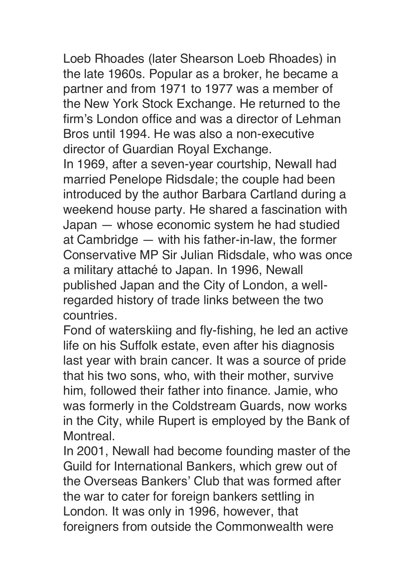Loeb Rhoades (later Shearson Loeb Rhoades) in the late 1960s. Popular as a broker, he became a partner and from 1971 to 1977 was a member of the New York Stock Exchange. He returned to the firm's London office and was a director of Lehman Bros until 1994. He was also a non-executive director of Guardian Royal Exchange.

In 1969, after a seven-year courtship, Newall had married Penelope Ridsdale; the couple had been introduced by the author Barbara Cartland during a weekend house party. He shared a fascination with Japan — whose economic system he had studied at Cambridge — with his father-in-law, the former Conservative MP Sir Julian Ridsdale, who was once a military attaché to Japan. In 1996, Newall published Japan and the City of London, a wellregarded history of trade links between the two countries.

Fond of waterskiing and fly-fishing, he led an active life on his Suffolk estate, even after his diagnosis last year with brain cancer. It was a source of pride that his two sons, who, with their mother, survive him, followed their father into finance. Jamie, who was formerly in the Coldstream Guards, now works in the City, while Rupert is employed by the Bank of Montreal.

In 2001, Newall had become founding master of the Guild for International Bankers, which grew out of the Overseas Bankers' Club that was formed after the war to cater for foreign bankers settling in London. It was only in 1996, however, that foreigners from outside the Commonwealth were